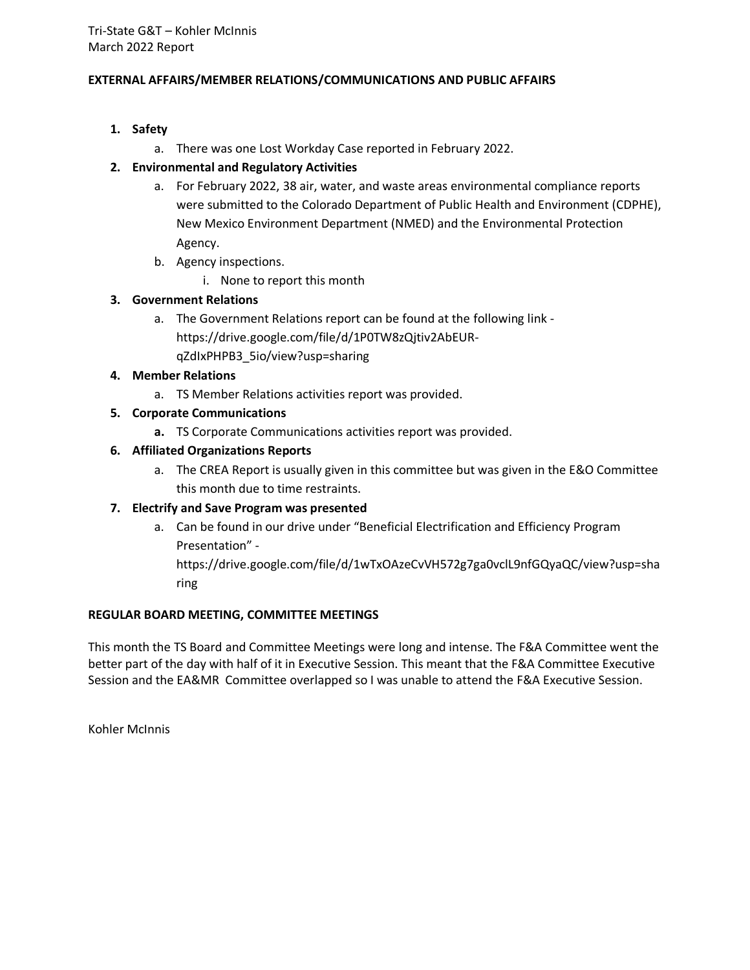## **EXTERNAL AFFAIRS/MEMBER RELATIONS/COMMUNICATIONS AND PUBLIC AFFAIRS**

# **1. Safety**

a. There was one Lost Workday Case reported in February 2022.

# **2. Environmental and Regulatory Activities**

- a. For February 2022, 38 air, water, and waste areas environmental compliance reports were submitted to the Colorado Department of Public Health and Environment (CDPHE), New Mexico Environment Department (NMED) and the Environmental Protection Agency.
- b. Agency inspections.
	- i. None to report this month

# **3. Government Relations**

a. The Government Relations report can be found at the following link https://drive.google.com/file/d/1P0TW8zQjtiv2AbEURqZdIxPHPB3\_5io/view?usp=sharing

## **4. Member Relations**

a. TS Member Relations activities report was provided.

## **5. Corporate Communications**

**a.** TS Corporate Communications activities report was provided.

## **6. Affiliated Organizations Reports**

a. The CREA Report is usually given in this committee but was given in the E&O Committee this month due to time restraints.

## **7. Electrify and Save Program was presented**

a. Can be found in our drive under "Beneficial Electrification and Efficiency Program Presentation" -

https://drive.google.com/file/d/1wTxOAzeCvVH572g7ga0vclL9nfGQyaQC/view?usp=sha ring

## **REGULAR BOARD MEETING, COMMITTEE MEETINGS**

This month the TS Board and Committee Meetings were long and intense. The F&A Committee went the better part of the day with half of it in Executive Session. This meant that the F&A Committee Executive Session and the EA&MR Committee overlapped so I was unable to attend the F&A Executive Session.

Kohler McInnis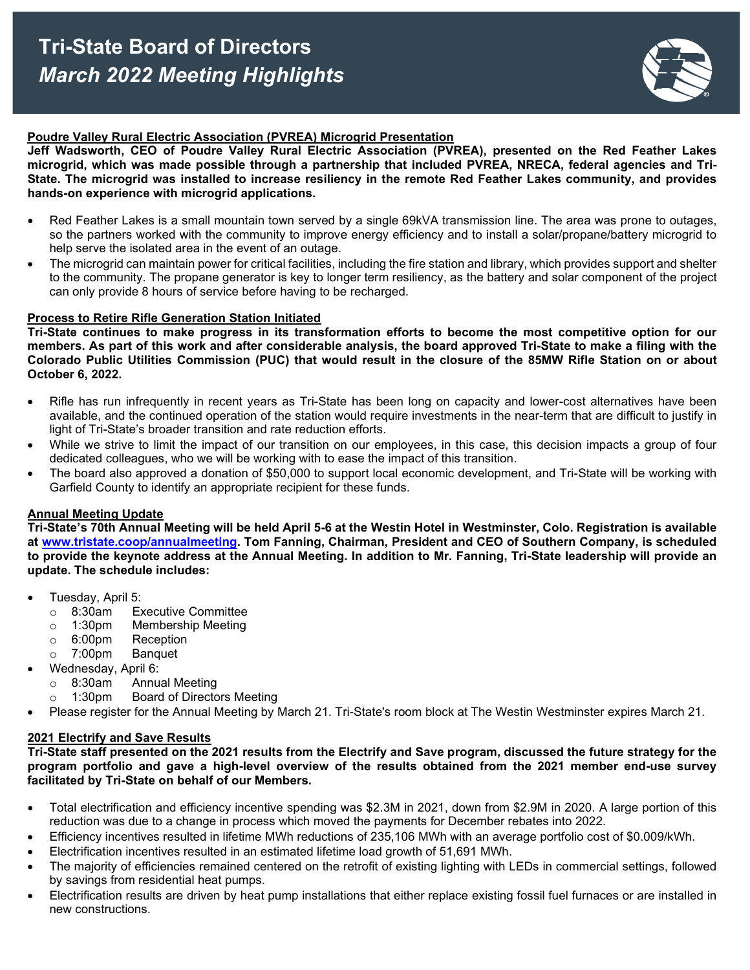

## **Poudre Valley Rural Electric Association (PVREA) Microgrid Presentation**

**Jeff Wadsworth, CEO of Poudre Valley Rural Electric Association (PVREA), presented on the Red Feather Lakes microgrid, which was made possible through a partnership that included PVREA, NRECA, federal agencies and Tri-State. The microgrid was installed to increase resiliency in the remote Red Feather Lakes community, and provides hands-on experience with microgrid applications.**

- Red Feather Lakes is a small mountain town served by a single 69kVA transmission line. The area was prone to outages, so the partners worked with the community to improve energy efficiency and to install a solar/propane/battery microgrid to help serve the isolated area in the event of an outage.
- The microgrid can maintain power for critical facilities, including the fire station and library, which provides support and shelter to the community. The propane generator is key to longer term resiliency, as the battery and solar component of the project can only provide 8 hours of service before having to be recharged.

### **Process to Retire Rifle Generation Station Initiated**

**Tri-State continues to make progress in its transformation efforts to become the most competitive option for our members. As part of this work and after considerable analysis, the board approved Tri-State to make a filing with the Colorado Public Utilities Commission (PUC) that would result in the closure of the 85MW Rifle Station on or about October 6, 2022.**

- Rifle has run infrequently in recent years as Tri-State has been long on capacity and lower-cost alternatives have been available, and the continued operation of the station would require investments in the near-term that are difficult to justify in light of Tri-State's broader transition and rate reduction efforts.
- While we strive to limit the impact of our transition on our employees, in this case, this decision impacts a group of four dedicated colleagues, who we will be working with to ease the impact of this transition.
- The board also approved a donation of \$50,000 to support local economic development, and Tri-State will be working with Garfield County to identify an appropriate recipient for these funds.

#### **Annual Meeting Update**

**Tri-State's 70th Annual Meeting will be held April 5-6 at the Westin Hotel in Westminster, Colo. Registration is available at www.tristate.coop/annualmeeting. Tom Fanning, Chairman, President and CEO of Southern Company, is scheduled to provide the keynote address at the Annual Meeting. In addition to Mr. Fanning, Tri-State leadership will provide an update. The schedule includes:**

- Tuesday, April 5:
	- o 8:30am Executive Committee<br>○ 1:30pm Membership Meeting
	- o 1:30pm Membership Meeting<br>○ 6:00pm Reception
	- o 6:00pm Reception<br>⊙ 7:00pm Banquet
	- $O$  7:00pm
- Wednesday, April 6:<br>  $\circ$  8:30am Annu
	- 8:30am Annual Meeting<br>1:30pm Board of Directo
	- o 1:30pm Board of Directors Meeting
- Please register for the Annual Meeting by March 21. Tri-State's room block at The Westin Westminster expires March 21.

#### **2021 Electrify and Save Results**

**Tri-State staff presented on the 2021 results from the Electrify and Save program, discussed the future strategy for the program portfolio and gave a high-level overview of the results obtained from the 2021 member end-use survey facilitated by Tri-State on behalf of our Members.**

- Total electrification and efficiency incentive spending was \$2.3M in 2021, down from \$2.9M in 2020. A large portion of this reduction was due to a change in process which moved the payments for December rebates into 2022.
- Efficiency incentives resulted in lifetime MWh reductions of 235,106 MWh with an average portfolio cost of \$0.009/kWh.
- Electrification incentives resulted in an estimated lifetime load growth of 51,691 MWh.
- The majority of efficiencies remained centered on the retrofit of existing lighting with LEDs in commercial settings, followed by savings from residential heat pumps.
- Electrification results are driven by heat pump installations that either replace existing fossil fuel furnaces or are installed in new constructions.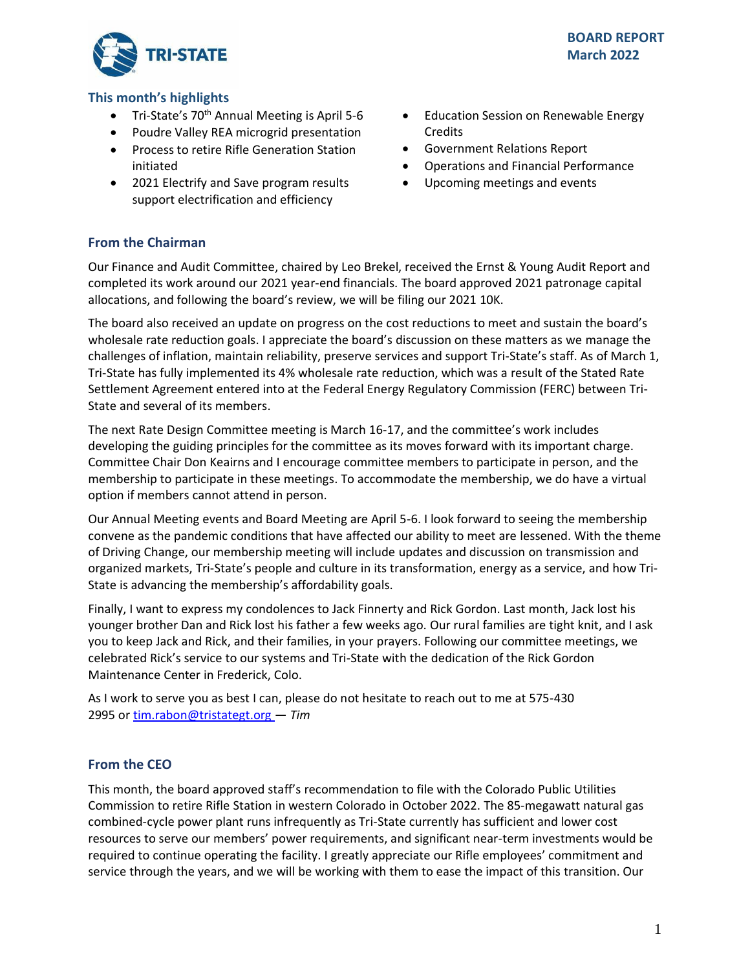

# **This month's highlights**

- Tri-State's 70<sup>th</sup> Annual Meeting is April 5-6
- Poudre Valley REA microgrid presentation
- Process to retire Rifle Generation Station initiated
- 2021 Electrify and Save program results support electrification and efficiency
- Education Session on Renewable Energy Credits
- Government Relations Report
- Operations and Financial Performance
- Upcoming meetings and events

# **From the Chairman**

Our Finance and Audit Committee, chaired by Leo Brekel, received the Ernst & Young Audit Report and completed its work around our 2021 year-end financials. The board approved 2021 patronage capital allocations, and following the board's review, we will be filing our 2021 10K.

The board also received an update on progress on the cost reductions to meet and sustain the board's wholesale rate reduction goals. I appreciate the board's discussion on these matters as we manage the challenges of inflation, maintain reliability, preserve services and support Tri-State's staff. As of March 1, Tri-State has fully implemented its 4% wholesale rate reduction, which was a result of the Stated Rate Settlement Agreement entered into at the Federal Energy Regulatory Commission (FERC) between Tri-State and several of its members.

The next Rate Design Committee meeting is March 16-17, and the committee's work includes developing the guiding principles for the committee as its moves forward with its important charge. Committee Chair Don Keairns and I encourage committee members to participate in person, and the membership to participate in these meetings. To accommodate the membership, we do have a virtual option if members cannot attend in person.

Our Annual Meeting events and Board Meeting are April 5-6. I look forward to seeing the membership convene as the pandemic conditions that have affected our ability to meet are lessened. With the theme of Driving Change, our membership meeting will include updates and discussion on transmission and organized markets, Tri-State's people and culture in its transformation, energy as a service, and how Tri-State is advancing the membership's affordability goals.

Finally, I want to express my condolences to Jack Finnerty and Rick Gordon. Last month, Jack lost his younger brother Dan and Rick lost his father a few weeks ago. Our rural families are tight knit, and I ask you to keep Jack and Rick, and their families, in your prayers. Following our committee meetings, we celebrated Rick's service to our systems and Tri-State with the dedication of the Rick Gordon Maintenance Center in Frederick, Colo.

As I work to serve you as best I can, please do not hesitate to reach out to me at 575-430 2995 or[tim.rabon@tristategt.org —](mailto:tim.rabon@tristategt.org) *Tim*

# **From the CEO**

This month, the board approved staff's recommendation to file with the Colorado Public Utilities Commission to retire Rifle Station in western Colorado in October 2022. The 85-megawatt natural gas combined-cycle power plant runs infrequently as Tri-State currently has sufficient and lower cost resources to serve our members' power requirements, and significant near-term investments would be required to continue operating the facility. I greatly appreciate our Rifle employees' commitment and service through the years, and we will be working with them to ease the impact of this transition. Our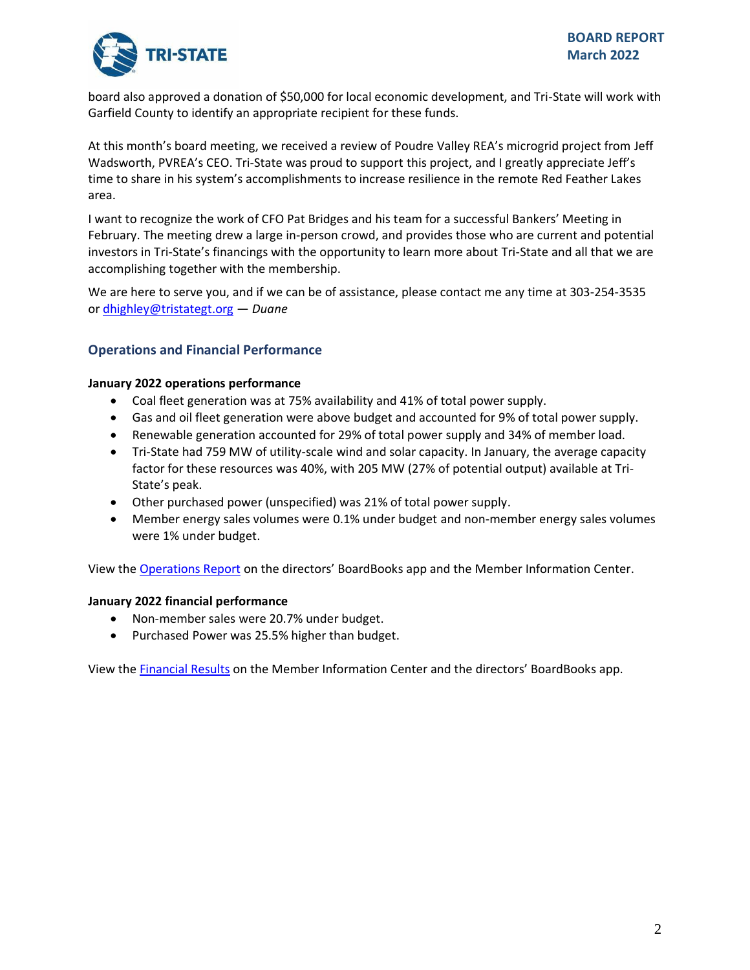

board also approved a donation of \$50,000 for local economic development, and Tri-State will work with Garfield County to identify an appropriate recipient for these funds.

At this month's board meeting, we received a review of Poudre Valley REA's microgrid project from Jeff Wadsworth, PVREA's CEO. Tri-State was proud to support this project, and I greatly appreciate Jeff's time to share in his system's accomplishments to increase resilience in the remote Red Feather Lakes area.

I want to recognize the work of CFO Pat Bridges and his team for a successful Bankers' Meeting in February. The meeting drew a large in-person crowd, and provides those who are current and potential investors in Tri-State's financings with the opportunity to learn more about Tri-State and all that we are accomplishing together with the membership.

We are here to serve you, and if we can be of assistance, please contact me any time at 303-254-3535 or [dhighley@tristategt.org](mailto:dhighley@tristategt.org) — *Duane*  

## **Operations and Financial Performance**

### **January 2022 operations performance**

- Coal fleet generation was at 75% availability and 41% of total power supply.
- Gas and oil fleet generation were above budget and accounted for 9% of total power supply.
- Renewable generation accounted for 29% of total power supply and 34% of member load.
- Tri-State had 759 MW of utility-scale wind and solar capacity. In January, the average capacity factor for these resources was 40%, with 205 MW (27% of potential output) available at Tri-State's peak.
- Other purchased power (unspecified) was 21% of total power supply.
- Member energy sales volumes were 0.1% under budget and non-member energy sales volumes were 1% under budget.

View the [Operations Report](https://mic.tristategt.org/Member%20Managers/2022-03-BOD-EO%20-%20Operations%20Report.pdf) on the directors' BoardBooks app and the Member [Information Center.](https://mic.tristategt.org/Member%20Managers/2020-08-BOD%20-%20Operations%20Report.pdf)

## **January 2022 financial performance**

- Non-member sales were 20.7% under budget.
- Purchased Power was 25.5% higher than budget.

View the [Financial Results](https://mic.tristategt.org/Member%20Managers/2022-03-BOD-FIN%20-%20Financial%20Results.pdf) on the Membe[r](https://mic.tristategt.org/Member%20Managers/2020-08-BOD%20-%20Operations%20Report.pdf) Information Center and the directors' BoardBooks app.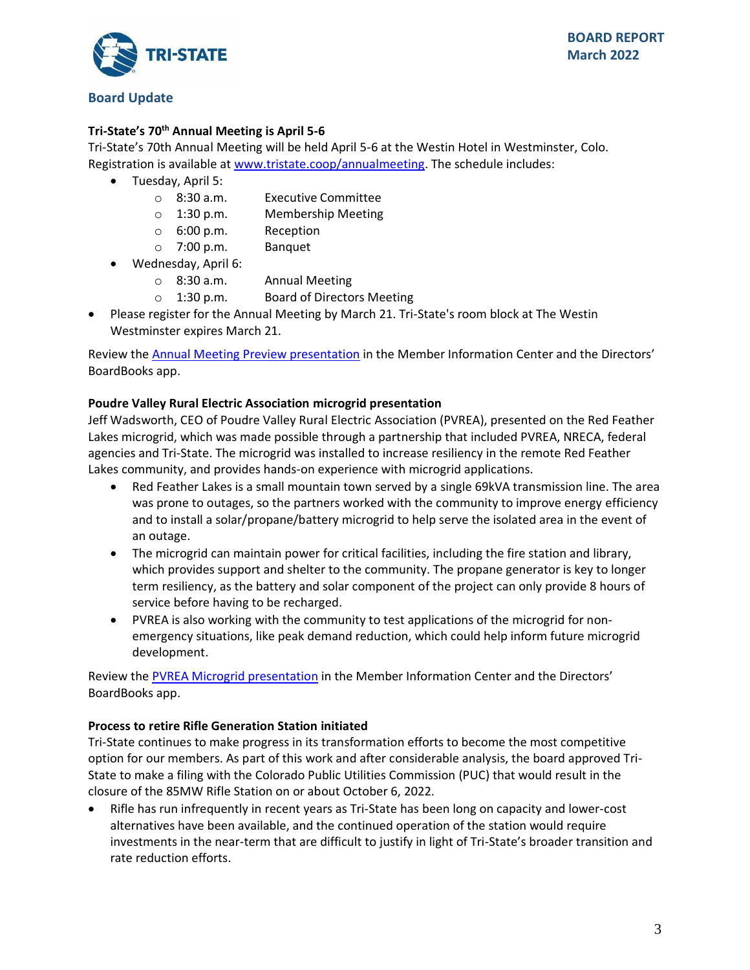

# **Board Update**

## **Tri-State's 70th Annual Meeting is April 5-6**

Tri-State's 70th Annual Meeting will be held April 5-6 at the Westin Hotel in Westminster, Colo. Registration is available at [www.tristate.coop/annualmeeting.](file:///C:/Users/rofran/AppData/Local/Microsoft/Windows/INetCache/Content.Outlook/WP0UFQBN/www.tristate.coop/annualmeeting) The schedule includes:

- Tuesday, April 5:
	- o 8:30 a.m. Executive Committee
	- o 1:30 p.m. Membership Meeting
	- o 6:00 p.m. Reception
	- o 7:00 p.m. Banquet
- Wednesday, April 6:
	- o 8:30 a.m. Annual Meeting
	- o 1:30 p.m. Board of Directors Meeting
- Please register for the Annual Meeting by March 21. Tri-State's room block at The Westin Westminster expires March 21.

Review the [Annual Meeting Preview presentation](https://mic.tristategt.org/Member%20Managers/BOD-03-2022-Annual%20Meeting.pdf) in the Member Information Center and the Directors' BoardBooks app.

## **Poudre Valley Rural Electric Association microgrid presentation**

Jeff Wadsworth, CEO of Poudre Valley Rural Electric Association (PVREA), presented on the Red Feather Lakes microgrid, which was made possible through a partnership that included PVREA, NRECA, federal agencies and Tri-State. The microgrid was installed to increase resiliency in the remote Red Feather Lakes community, and provides hands-on experience with microgrid applications.

- Red Feather Lakes is a small mountain town served by a single 69kVA transmission line. The area was prone to outages, so the partners worked with the community to improve energy efficiency and to install a solar/propane/battery microgrid to help serve the isolated area in the event of an outage.
- The microgrid can maintain power for critical facilities, including the fire station and library, which provides support and shelter to the community. The propane generator is key to longer term resiliency, as the battery and solar component of the project can only provide 8 hours of service before having to be recharged.
- PVREA is also working with the community to test applications of the microgrid for nonemergency situations, like peak demand reduction, which could help inform future microgrid development.

Review the [PVREA Microgrid presentation](https://mic.tristategt.org/Member%20Managers/PVREA%20Red%20Feather%20Lakes.pdf) in the Member Information Center and the Directors' BoardBooks app.

## **Process to retire Rifle Generation Station initiated**

Tri-State continues to make progress in its transformation efforts to become the most competitive option for our members. As part of this work and after considerable analysis, the board approved Tri-State to make a filing with the Colorado Public Utilities Commission (PUC) that would result in the closure of the 85MW Rifle Station on or about October 6, 2022.

• Rifle has run infrequently in recent years as Tri-State has been long on capacity and lower-cost alternatives have been available, and the continued operation of the station would require investments in the near-term that are difficult to justify in light of Tri-State's broader transition and rate reduction efforts.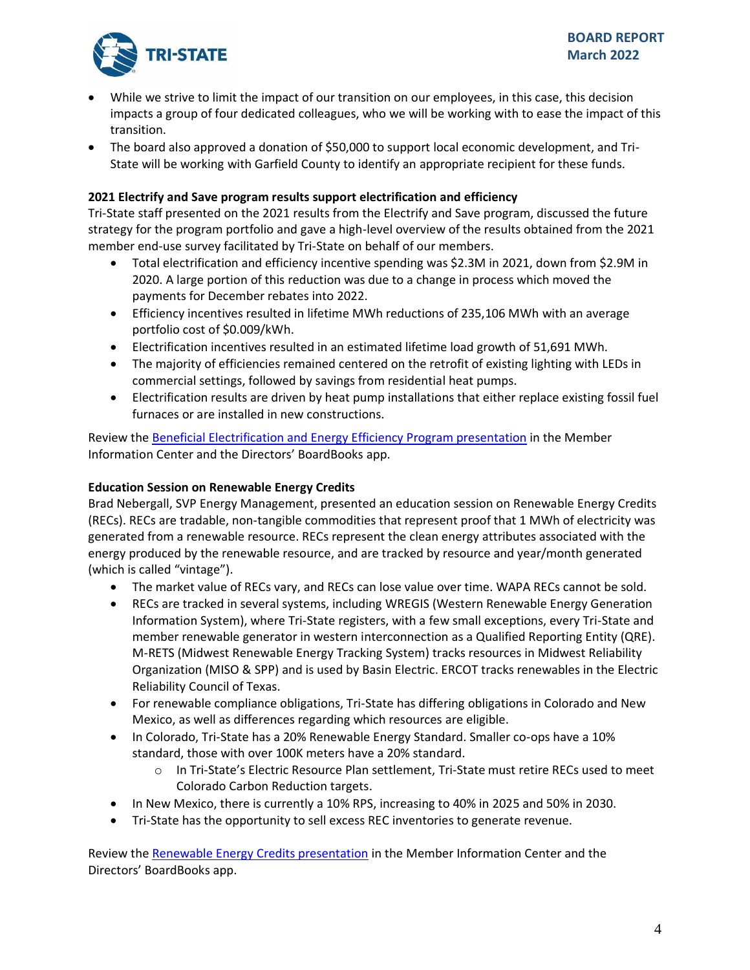

- While we strive to limit the impact of our transition on our employees, in this case, this decision impacts a group of four dedicated colleagues, who we will be working with to ease the impact of this transition.
- The board also approved a donation of \$50,000 to support local economic development, and Tri-State will be working with Garfield County to identify an appropriate recipient for these funds.

## **2021 Electrify and Save program results support electrification and efficiency**

Tri-State staff presented on the 2021 results from the Electrify and Save program, discussed the future strategy for the program portfolio and gave a high-level overview of the results obtained from the 2021 member end-use survey facilitated by Tri-State on behalf of our members.

- Total electrification and efficiency incentive spending was \$2.3M in 2021, down from \$2.9M in 2020. A large portion of this reduction was due to a change in process which moved the payments for December rebates into 2022.
- Efficiency incentives resulted in lifetime MWh reductions of 235,106 MWh with an average portfolio cost of \$0.009/kWh.
- Electrification incentives resulted in an estimated lifetime load growth of 51,691 MWh.
- The majority of efficiencies remained centered on the retrofit of existing lighting with LEDs in commercial settings, followed by savings from residential heat pumps.
- Electrification results are driven by heat pump installations that either replace existing fossil fuel furnaces or are installed in new constructions.

Review the [Beneficial Electrification and Energy Efficiency Program presentation](https://mic.tristategt.org/Member%20Managers/2022-03-EA-%20Beneficial%20Electrification%20and%20Efficiency%20Program.pdf) in the Member Information Center and the Directors' BoardBooks app.

## **Education Session on Renewable Energy Credits**

Brad Nebergall, SVP Energy Management, presented an education session on Renewable Energy Credits (RECs). RECs are tradable, non-tangible commodities that represent proof that 1 MWh of electricity was generated from a renewable resource. RECs represent the clean energy attributes associated with the energy produced by the renewable resource, and are tracked by resource and year/month generated (which is called "vintage").

- The market value of RECs vary, and RECs can lose value over time. WAPA RECs cannot be sold.
- RECs are tracked in several systems, including WREGIS (Western Renewable Energy Generation Information System), where Tri-State registers, with a few small exceptions, every Tri-State and member renewable generator in western interconnection as a Qualified Reporting Entity (QRE). M-RETS (Midwest Renewable Energy Tracking System) tracks resources in Midwest Reliability Organization (MISO & SPP) and is used by Basin Electric. ERCOT tracks renewables in the Electric Reliability Council of Texas.
- For renewable compliance obligations, Tri-State has differing obligations in Colorado and New Mexico, as well as differences regarding which resources are eligible.
- In Colorado, Tri-State has a 20% Renewable Energy Standard. Smaller co-ops have a 10% standard, those with over 100K meters have a 20% standard.
	- o In Tri-State's Electric Resource Plan settlement, Tri-State must retire RECs used to meet Colorado Carbon Reduction targets.
- In New Mexico, there is currently a 10% RPS, increasing to 40% in 2025 and 50% in 2030.
- Tri-State has the opportunity to sell excess REC inventories to generate revenue.

Review the [Renewable Energy Credits presentation](https://mic.tristategt.org/Member%20Managers/2022-03-BOD-EXEC%20-%20Educational%20Session%20-%20Renewable%20Energy%20Credits.pdf) in the Member Information Center and the Directors' BoardBooks app.